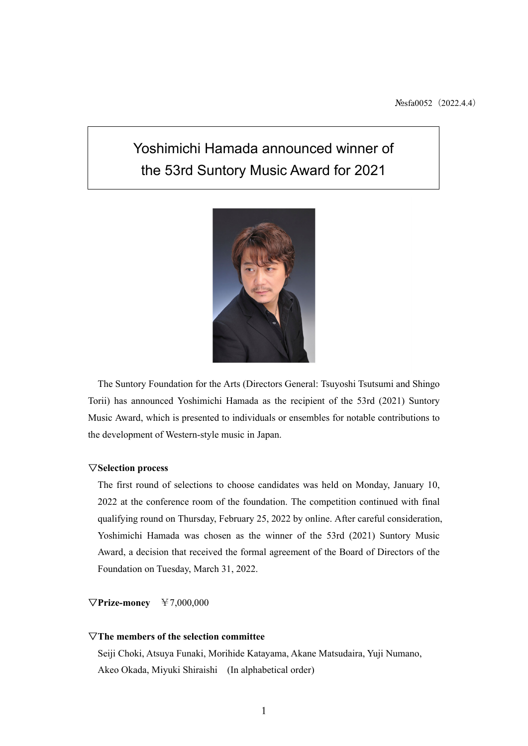# Yoshimichi Hamada announced winner of the 53rd Suntory Music Award for 2021



The Suntory Foundation for the Arts (Directors General: Tsuyoshi Tsutsumi and Shingo Torii) has announced Yoshimichi Hamada as the recipient of the 53rd (2021) Suntory Music Award, which is presented to individuals or ensembles for notable contributions to the development of Western-style music in Japan.

## ▽**Selection process**

The first round of selections to choose candidates was held on Monday, January 10, 2022 at the conference room of the foundation. The competition continued with final qualifying round on Thursday, February 25, 2022 by online. After careful consideration, Yoshimichi Hamada was chosen as the winner of the 53rd (2021) Suntory Music Award, a decision that received the formal agreement of the Board of Directors of the Foundation on Tuesday, March 31, 2022.

## ▽**Prize-money** ¥7,000,000

## ▽**The members of the selection committee**

Seiji Choki, Atsuya Funaki, Morihide Katayama, Akane Matsudaira, Yuji Numano, Akeo Okada, Miyuki Shiraishi (In alphabetical order)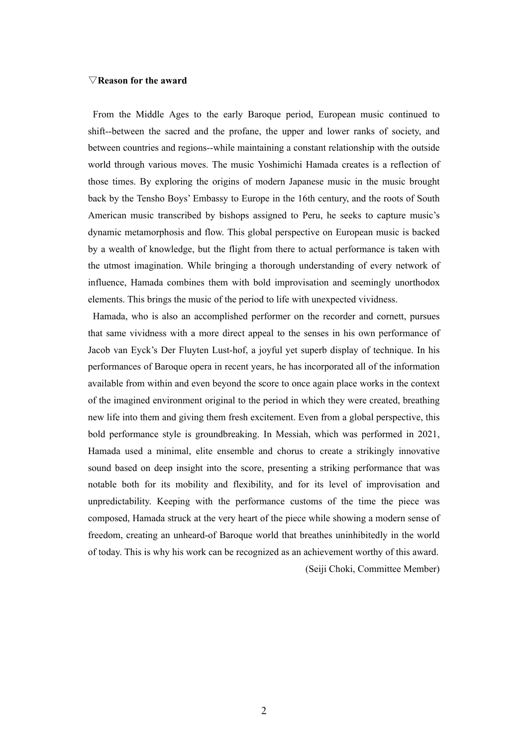#### ▽**Reason for the award**

From the Middle Ages to the early Baroque period, European music continued to shift--between the sacred and the profane, the upper and lower ranks of society, and between countries and regions--while maintaining a constant relationship with the outside world through various moves. The music Yoshimichi Hamada creates is a reflection of those times. By exploring the origins of modern Japanese music in the music brought back by the Tensho Boys' Embassy to Europe in the 16th century, and the roots of South American music transcribed by bishops assigned to Peru, he seeks to capture music's dynamic metamorphosis and flow. This global perspective on European music is backed by a wealth of knowledge, but the flight from there to actual performance is taken with the utmost imagination. While bringing a thorough understanding of every network of influence, Hamada combines them with bold improvisation and seemingly unorthodox elements. This brings the music of the period to life with unexpected vividness.

Hamada, who is also an accomplished performer on the recorder and cornett, pursues that same vividness with a more direct appeal to the senses in his own performance of Jacob van Eyck's Der Fluyten Lust-hof, a joyful yet superb display of technique. In his performances of Baroque opera in recent years, he has incorporated all of the information available from within and even beyond the score to once again place works in the context of the imagined environment original to the period in which they were created, breathing new life into them and giving them fresh excitement. Even from a global perspective, this bold performance style is groundbreaking. In Messiah, which was performed in 2021, Hamada used a minimal, elite ensemble and chorus to create a strikingly innovative sound based on deep insight into the score, presenting a striking performance that was notable both for its mobility and flexibility, and for its level of improvisation and unpredictability. Keeping with the performance customs of the time the piece was composed, Hamada struck at the very heart of the piece while showing a modern sense of freedom, creating an unheard-of Baroque world that breathes uninhibitedly in the world of today. This is why his work can be recognized as an achievement worthy of this award.

(Seiji Choki, Committee Member)